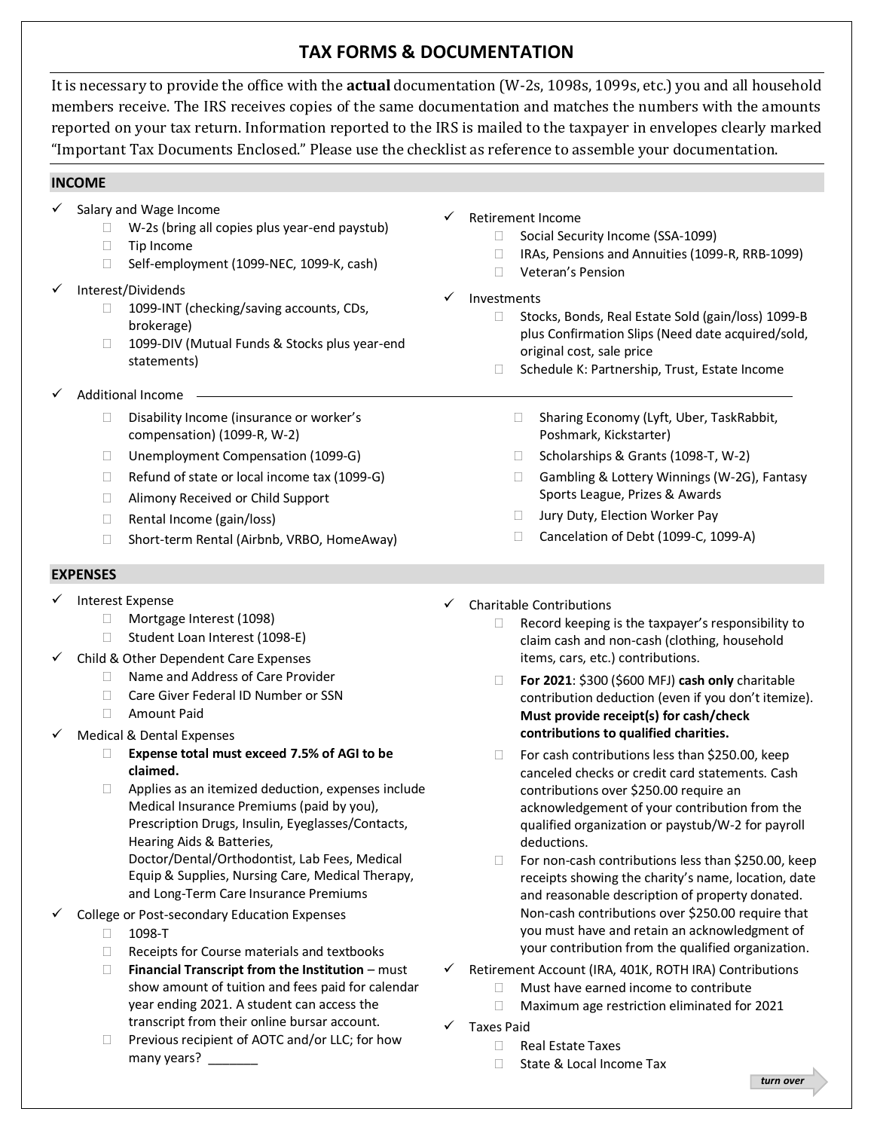# **TAX FORMS & DOCUMENTATION**

It is necessary to provide the office with the **actual** documentation (W-2s, 1098s, 1099s, etc.) you and all household members receive. The IRS receives copies of the same documentation and matches the numbers with the amounts reported on your tax return. Information reported to the IRS is mailed to the taxpayer in envelopes clearly marked "Important Tax Documents Enclosed." Please use the checklist as reference to assemble your documentation.

## **INCOME**

- $\checkmark$  Salary and Wage Income
	- $\Box$  W-2s (bring all copies plus year-end paystub)
	- $\Box$  Tip Income
	- □ Self-employment (1099-NEC, 1099-K, cash)
- Interest/Dividends
	- □ 1099-INT (checking/saving accounts, CDs, brokerage)
	- □ 1099-DIV (Mutual Funds & Stocks plus year-end statements)
- Additional Income -
	- $\square$  Disability Income (insurance or worker's compensation) (1099-R, W-2)
	- □ Unemployment Compensation (1099-G)
	- $\Box$  Refund of state or local income tax (1099-G)
	- □ Alimony Received or Child Support
	- □ Rental Income (gain/loss)
	- □ Short-term Rental (Airbnb, VRBO, HomeAway)

#### **EXPENSES**

- ✓ Interest Expense
	- □ Mortgage Interest (1098)
	- □ Student Loan Interest (1098-E)
- Child & Other Dependent Care Expenses
	- □ Name and Address of Care Provider
	- □ Care Giver Federal ID Number or SSN
	- Amount Paid
- Medical & Dental Expenses
	- **Expense total must exceed 7.5% of AGI to be claimed.**
	- $\Box$  Applies as an itemized deduction, expenses include Medical Insurance Premiums (paid by you), Prescription Drugs, Insulin, Eyeglasses/Contacts, Hearing Aids & Batteries,

Doctor/Dental/Orthodontist, Lab Fees, Medical Equip & Supplies, Nursing Care, Medical Therapy, and Long-Term Care Insurance Premiums

- College or Post-secondary Education Expenses
	- 1098-T
	- $\Box$  Receipts for Course materials and textbooks
	- **Financial Transcript from the Institution** must show amount of tuition and fees paid for calendar year ending 2021. A student can access the transcript from their online bursar account.
	- $\Box$  Previous recipient of AOTC and/or LLC; for how many years?
- Retirement Income
	- □ Social Security Income (SSA-1099)
	- □ IRAs, Pensions and Annuities (1099-R, RRB-1099)
	- Veteran's Pension
- **Investments** 
	- □ Stocks, Bonds, Real Estate Sold (gain/loss) 1099-B plus Confirmation Slips (Need date acquired/sold, original cost, sale price
	- □ Schedule K: Partnership, Trust, Estate Income
		- □ Sharing Economy (Lyft, Uber, TaskRabbit, Poshmark, Kickstarter)
		- $\Box$  Scholarships & Grants (1098-T, W-2)
		- □ Gambling & Lottery Winnings (W-2G), Fantasy Sports League, Prizes & Awards
		- □ Jury Duty, Election Worker Pay
		- Cancelation of Debt (1099-C, 1099-A)
- $\checkmark$  Charitable Contributions
	- $\Box$  Record keeping is the taxpayer's responsibility to claim cash and non-cash (clothing, household items, cars, etc.) contributions.
	- **For 2021**: \$300 (\$600 MFJ) **cash only** charitable contribution deduction (even if you don't itemize). **Must provide receipt(s) for cash/check contributions to qualified charities.**
	- $\Box$  For cash contributions less than \$250.00, keep canceled checks or credit card statements. Cash contributions over \$250.00 require an acknowledgement of your contribution from the qualified organization or paystub/W-2 for payroll deductions.
	- $\Box$  For non-cash contributions less than \$250.00, keep receipts showing the charity's name, location, date and reasonable description of property donated. Non-cash contributions over \$250.00 require that you must have and retain an acknowledgment of your contribution from the qualified organization.
- Retirement Account (IRA, 401K, ROTH IRA) Contributions
	- $\Box$  Must have earned income to contribute
	- □ Maximum age restriction eliminated for 2021
- Taxes Paid
	- Real Estate Taxes
	- □ State & Local Income Tax